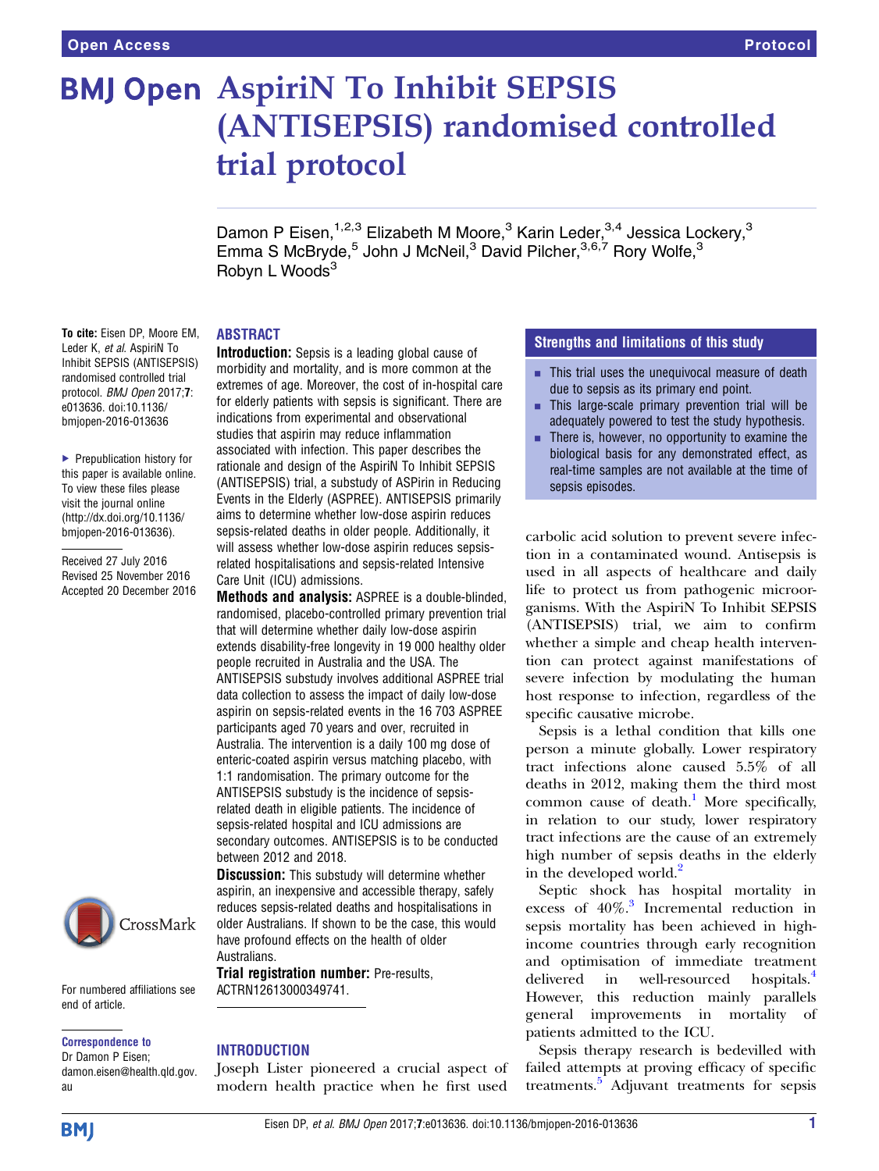# **BMJ Open AspiriN To Inhibit SEPSIS** (ANTISEPSIS) randomised controlled trial protocol

Damon P Eisen,<sup>1,2,3</sup> Elizabeth M Moore,<sup>3</sup> Karin Leder,<sup>3,4</sup> Jessica Lockery,<sup>3</sup> Emma S McBryde,<sup>5</sup> John J McNeil,<sup>3</sup> David Pilcher,<sup>3,6,7</sup> Rory Wolfe,<sup>3</sup> Robyn L Woods<sup>3</sup>

#### ABSTRACT

To cite: Eisen DP, Moore EM, Leder K, et al. AspiriN To Inhibit SEPSIS (ANTISEPSIS) randomised controlled trial protocol. BMJ Open 2017;7: e013636. doi:10.1136/ bmjopen-2016-013636

▶ Prepublication history for this paper is available online. To view these files please visit the journal online [\(http://dx.doi.org/10.1136/](http://dx.doi.org/10.1136/bmjopen-2016-013636) [bmjopen-2016-013636](http://dx.doi.org/10.1136/bmjopen-2016-013636)).

Received 27 July 2016 Revised 25 November 2016 Accepted 20 December 2016



For numbered affiliations see end of article.

#### Correspondence to

Dr Damon P Eisen; damon.eisen@health.qld.gov. au

**Introduction:** Sepsis is a leading global cause of morbidity and mortality, and is more common at the extremes of age. Moreover, the cost of in-hospital care for elderly patients with sepsis is significant. There are indications from experimental and observational studies that aspirin may reduce inflammation associated with infection. This paper describes the rationale and design of the AspiriN To Inhibit SEPSIS (ANTISEPSIS) trial, a substudy of ASPirin in Reducing Events in the Elderly (ASPREE). ANTISEPSIS primarily aims to determine whether low-dose aspirin reduces sepsis-related deaths in older people. Additionally, it will assess whether low-dose aspirin reduces sepsisrelated hospitalisations and sepsis-related Intensive Care Unit (ICU) admissions.

Methods and analysis: ASPREE is a double-blinded, randomised, placebo-controlled primary prevention trial that will determine whether daily low-dose aspirin extends disability-free longevity in 19 000 healthy older people recruited in Australia and the USA. The ANTISEPSIS substudy involves additional ASPREE trial data collection to assess the impact of daily low-dose aspirin on sepsis-related events in the 16 703 ASPREE participants aged 70 years and over, recruited in Australia. The intervention is a daily 100 mg dose of enteric-coated aspirin versus matching placebo, with 1:1 randomisation. The primary outcome for the ANTISEPSIS substudy is the incidence of sepsisrelated death in eligible patients. The incidence of sepsis-related hospital and ICU admissions are secondary outcomes. ANTISEPSIS is to be conducted between 2012 and 2018.

**Discussion:** This substudy will determine whether aspirin, an inexpensive and accessible therapy, safely reduces sepsis-related deaths and hospitalisations in older Australians. If shown to be the case, this would have profound effects on the health of older Australians.

Trial registration number: Pre-results, [ACTRN12613000349741.](https://www.anzctr.org.au/Trial/Registration/TrialReview.aspx?id=363940)

#### INTRODUCTION

Joseph Lister pioneered a crucial aspect of modern health practice when he first used

#### Strengths and limitations of this study

- $\blacksquare$  This trial uses the unequivocal measure of death due to sepsis as its primary end point.
- This large-scale primary prevention trial will be adequately powered to test the study hypothesis.
- $\blacksquare$  There is, however, no opportunity to examine the biological basis for any demonstrated effect, as real-time samples are not available at the time of sepsis episodes.

carbolic acid solution to prevent severe infection in a contaminated wound. Antisepsis is used in all aspects of healthcare and daily life to protect us from pathogenic microorganisms. With the AspiriN To Inhibit SEPSIS (ANTISEPSIS) trial, we aim to confirm whether a simple and cheap health intervention can protect against manifestations of severe infection by modulating the human host response to infection, regardless of the specific causative microbe.

Sepsis is a lethal condition that kills one person a minute globally. Lower respiratory tract infections alone caused 5.5% of all deaths in 2012, making them the third most common cause of death.<sup>[1](#page-5-0)</sup> More specifically, in relation to our study, lower respiratory tract infections are the cause of an extremely high number of sepsis deaths in the elderly in the developed world.<sup>[2](#page-5-0)</sup>

Septic shock has hospital mortality in excess of 40%.[3](#page-5-0) Incremental reduction in sepsis mortality has been achieved in highincome countries through early recognition and optimisation of immediate treatment delivered in well-resourced hospitals.<sup>[4](#page-5-0)</sup> However, this reduction mainly parallels general improvements in mortality patients admitted to the ICU.

Sepsis therapy research is bedevilled with failed attempts at proving efficacy of specific treatments.<sup>[5](#page-5-0)</sup> Adjuvant treatments for sepsis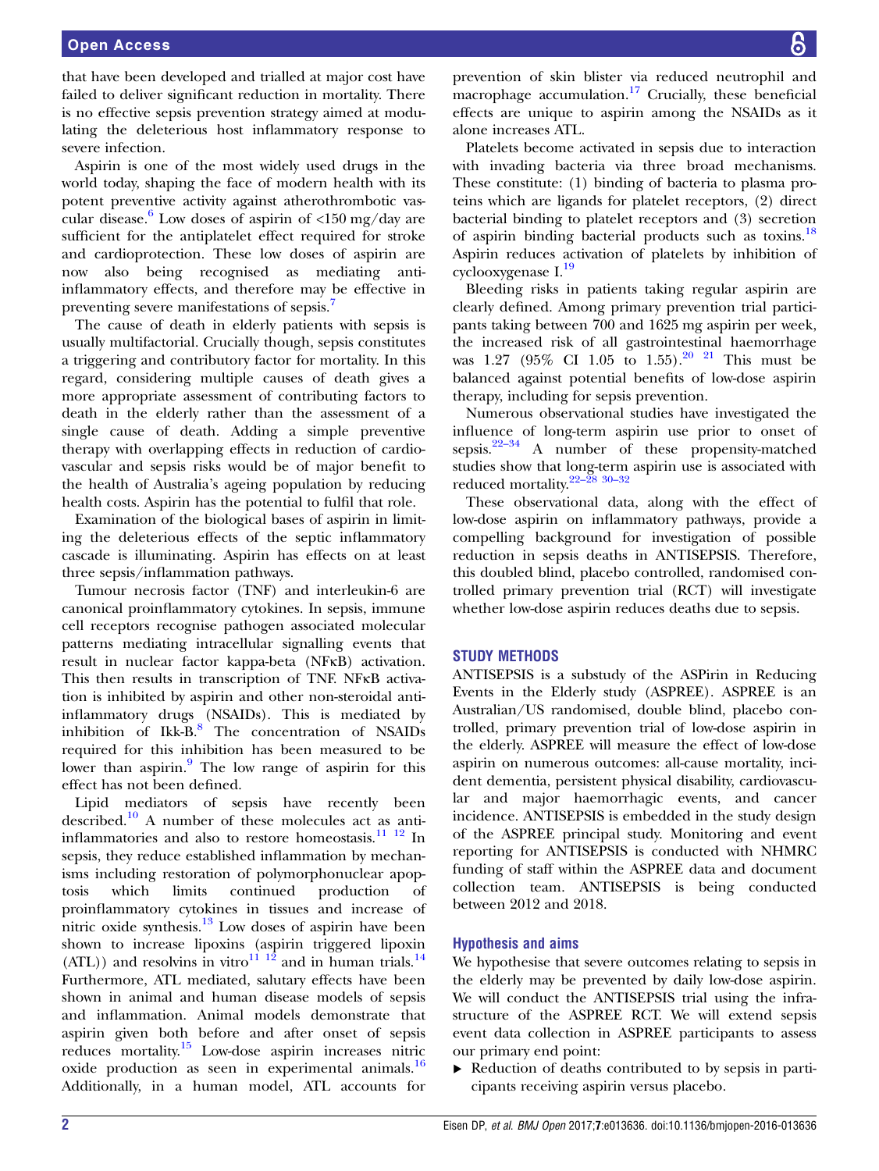that have been developed and trialled at major cost have failed to deliver significant reduction in mortality. There is no effective sepsis prevention strategy aimed at modulating the deleterious host inflammatory response to severe infection.

Aspirin is one of the most widely used drugs in the world today, shaping the face of modern health with its potent preventive activity against atherothrombotic vas-cular disease.<sup>[6](#page-5-0)</sup> Low doses of aspirin of  $\langle 150 \text{ mg}/\text{day} \rangle$  are sufficient for the antiplatelet effect required for stroke and cardioprotection. These low doses of aspirin are now also being recognised as mediating antiinflammatory effects, and therefore may be effective in preventing severe manifestations of sepsis.[7](#page-5-0)

The cause of death in elderly patients with sepsis is usually multifactorial. Crucially though, sepsis constitutes a triggering and contributory factor for mortality. In this regard, considering multiple causes of death gives a more appropriate assessment of contributing factors to death in the elderly rather than the assessment of a single cause of death. Adding a simple preventive therapy with overlapping effects in reduction of cardiovascular and sepsis risks would be of major benefit to the health of Australia's ageing population by reducing health costs. Aspirin has the potential to fulfil that role.

Examination of the biological bases of aspirin in limiting the deleterious effects of the septic inflammatory cascade is illuminating. Aspirin has effects on at least three sepsis/inflammation pathways.

Tumour necrosis factor (TNF) and interleukin-6 are canonical proinflammatory cytokines. In sepsis, immune cell receptors recognise pathogen associated molecular patterns mediating intracellular signalling events that result in nuclear factor kappa-beta (NFκB) activation. This then results in transcription of TNF. NFKB activation is inhibited by aspirin and other non-steroidal antiinflammatory drugs (NSAIDs). This is mediated by inhibition of Ikk-B.<sup>[8](#page-5-0)</sup> The concentration of NSAIDs required for this inhibition has been measured to be lower than aspirin. $9$  The low range of aspirin for this effect has not been defined.

Lipid mediators of sepsis have recently been described.[10](#page-5-0) A number of these molecules act as antiinflammatories and also to restore homeostasis. $\frac{11}{12}$  In sepsis, they reduce established inflammation by mechanisms including restoration of polymorphonuclear apoptosis which limits continued production of proinflammatory cytokines in tissues and increase of nitric oxide synthesis. $13$  Low doses of aspirin have been shown to increase lipoxins (aspirin triggered lipoxin (ATL)) and resolvins in vitro $11^{12}$  and in human trials.<sup>[14](#page-5-0)</sup> Furthermore, ATL mediated, salutary effects have been shown in animal and human disease models of sepsis and inflammation. Animal models demonstrate that aspirin given both before and after onset of sepsis reduces mortality.<sup>15</sup> Low-dose aspirin increases nitric oxide production as seen in experimental animals.<sup>[16](#page-5-0)</sup> Additionally, in a human model, ATL accounts for

prevention of skin blister via reduced neutrophil and macrophage accumulation. $17$  Crucially, these beneficial effects are unique to aspirin among the NSAIDs as it alone increases ATL.

Platelets become activated in sepsis due to interaction with invading bacteria via three broad mechanisms. These constitute: (1) binding of bacteria to plasma proteins which are ligands for platelet receptors, (2) direct bacterial binding to platelet receptors and (3) secretion of aspirin binding bacterial products such as toxins.<sup>[18](#page-5-0)</sup> Aspirin reduces activation of platelets by inhibition of cyclooxygenase I.<sup>[19](#page-5-0)</sup>

Bleeding risks in patients taking regular aspirin are clearly defined. Among primary prevention trial participants taking between 700 and 1625 mg aspirin per week, the increased risk of all gastrointestinal haemorrhage was  $1.27$  (95% CI 1.05 to  $1.55$ ).<sup>20</sup> <sup>21</sup> This must be balanced against potential benefits of low-dose aspirin therapy, including for sepsis prevention.

Numerous observational studies have investigated the influence of long-term aspirin use prior to onset of sepsis. $22-34$  A number of these propensity-matched studies show that long-term aspirin use is associated with reduced mortality.[22](#page-5-0)–28 30–[32](#page-5-0)

These observational data, along with the effect of low-dose aspirin on inflammatory pathways, provide a compelling background for investigation of possible reduction in sepsis deaths in ANTISEPSIS. Therefore, this doubled blind, placebo controlled, randomised controlled primary prevention trial (RCT) will investigate whether low-dose aspirin reduces deaths due to sepsis.

### STUDY METHODS

ANTISEPSIS is a substudy of the ASPirin in Reducing Events in the Elderly study (ASPREE). ASPREE is an Australian/US randomised, double blind, placebo controlled, primary prevention trial of low-dose aspirin in the elderly. ASPREE will measure the effect of low-dose aspirin on numerous outcomes: all-cause mortality, incident dementia, persistent physical disability, cardiovascular and major haemorrhagic events, and cancer incidence. ANTISEPSIS is embedded in the study design of the ASPREE principal study. Monitoring and event reporting for ANTISEPSIS is conducted with NHMRC funding of staff within the ASPREE data and document collection team. ANTISEPSIS is being conducted between 2012 and 2018.

#### Hypothesis and aims

We hypothesise that severe outcomes relating to sepsis in the elderly may be prevented by daily low-dose aspirin. We will conduct the ANTISEPSIS trial using the infrastructure of the ASPREE RCT. We will extend sepsis event data collection in ASPREE participants to assess our primary end point:

▸ Reduction of deaths contributed to by sepsis in participants receiving aspirin versus placebo.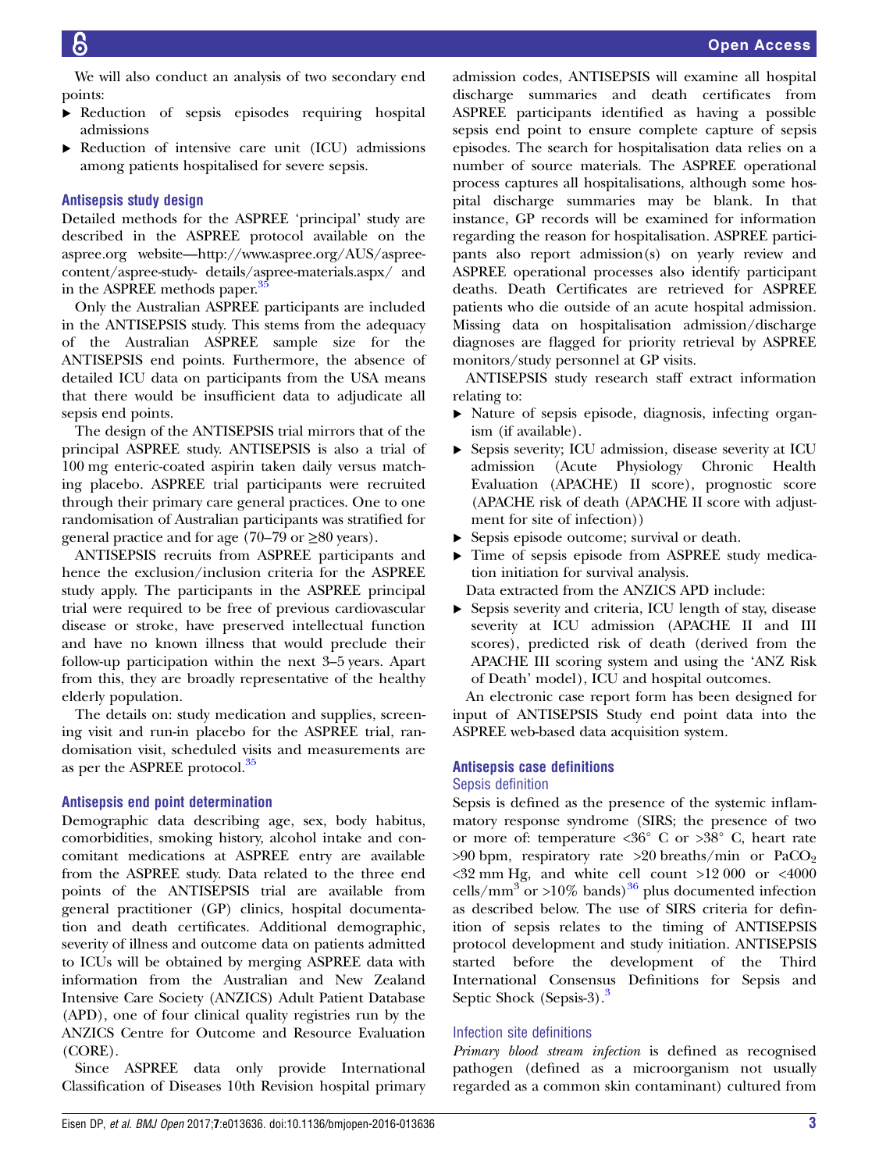We will also conduct an analysis of two secondary end points:

- ▸ Reduction of sepsis episodes requiring hospital admissions
- ▸ Reduction of intensive care unit (ICU) admissions among patients hospitalised for severe sepsis.

### Antisepsis study design

Detailed methods for the ASPREE 'principal' study are described in the ASPREE protocol available on the aspree.org website—[http://www.aspree.org/AUS/aspree](http://www.aspree.org/AUS/aspree-content/aspree-study)[content/aspree-study](http://www.aspree.org/AUS/aspree-content/aspree-study)- details/aspree-materials.aspx/ and in the ASPREE methods paper.<sup>3</sup>

Only the Australian ASPREE participants are included in the ANTISEPSIS study. This stems from the adequacy of the Australian ASPREE sample size for the ANTISEPSIS end points. Furthermore, the absence of detailed ICU data on participants from the USA means that there would be insufficient data to adjudicate all sepsis end points.

The design of the ANTISEPSIS trial mirrors that of the principal ASPREE study. ANTISEPSIS is also a trial of 100 mg enteric-coated aspirin taken daily versus matching placebo. ASPREE trial participants were recruited through their primary care general practices. One to one randomisation of Australian participants was stratified for general practice and for age (70–79 or  $\geq 80$  years).

ANTISEPSIS recruits from ASPREE participants and hence the exclusion/inclusion criteria for the ASPREE study apply. The participants in the ASPREE principal trial were required to be free of previous cardiovascular disease or stroke, have preserved intellectual function and have no known illness that would preclude their follow-up participation within the next 3–5 years. Apart from this, they are broadly representative of the healthy elderly population.

The details on: study medication and supplies, screening visit and run-in placebo for the ASPREE trial, randomisation visit, scheduled visits and measurements are as per the ASPREE protocol.<sup>35</sup>

### Antisepsis end point determination

Demographic data describing age, sex, body habitus, comorbidities, smoking history, alcohol intake and concomitant medications at ASPREE entry are available from the ASPREE study. Data related to the three end points of the ANTISEPSIS trial are available from general practitioner (GP) clinics, hospital documentation and death certificates. Additional demographic, severity of illness and outcome data on patients admitted to ICUs will be obtained by merging ASPREE data with information from the Australian and New Zealand Intensive Care Society (ANZICS) Adult Patient Database (APD), one of four clinical quality registries run by the ANZICS Centre for Outcome and Resource Evaluation (CORE).

Since ASPREE data only provide International Classification of Diseases 10th Revision hospital primary admission codes, ANTISEPSIS will examine all hospital discharge summaries and death certificates from ASPREE participants identified as having a possible sepsis end point to ensure complete capture of sepsis episodes. The search for hospitalisation data relies on a number of source materials. The ASPREE operational process captures all hospitalisations, although some hospital discharge summaries may be blank. In that instance, GP records will be examined for information regarding the reason for hospitalisation. ASPREE participants also report admission(s) on yearly review and ASPREE operational processes also identify participant deaths. Death Certificates are retrieved for ASPREE patients who die outside of an acute hospital admission. Missing data on hospitalisation admission/discharge diagnoses are flagged for priority retrieval by ASPREE monitors/study personnel at GP visits.

ANTISEPSIS study research staff extract information relating to:

- ▸ Nature of sepsis episode, diagnosis, infecting organism (if available).
- ▸ Sepsis severity; ICU admission, disease severity at ICU admission (Acute Physiology Chronic Health Evaluation (APACHE) II score), prognostic score (APACHE risk of death (APACHE II score with adjustment for site of infection))
- ▸ Sepsis episode outcome; survival or death.
- ▸ Time of sepsis episode from ASPREE study medication initiation for survival analysis.
- Data extracted from the ANZICS APD include:
- ▸ Sepsis severity and criteria, ICU length of stay, disease severity at ICU admission (APACHE II and III scores), predicted risk of death (derived from the APACHE III scoring system and using the 'ANZ Risk of Death' model), ICU and hospital outcomes.

An electronic case report form has been designed for input of ANTISEPSIS Study end point data into the ASPREE web-based data acquisition system.

## Antisepsis case definitions

### Sepsis definition

Sepsis is defined as the presence of the systemic inflammatory response syndrome (SIRS; the presence of two or more of: temperature <36° C or >38° C, heart rate  $>90$  bpm, respiratory rate  $>20$  breaths/min or PaCO<sub>2</sub>  $\langle 32 \text{ mm Hg}$ , and white cell count  $>12000$  or  $\langle 4000 \rangle$ cells/mm<sup>3</sup> or >10% bands)<sup>[36](#page-6-0)</sup> plus documented infection as described below. The use of SIRS criteria for definition of sepsis relates to the timing of ANTISEPSIS protocol development and study initiation. ANTISEPSIS started before the development of the Third International Consensus Definitions for Sepsis and Septic Shock (Sepsis-[3](#page-5-0)). $\degree$ 

### Infection site definitions

Primary blood stream infection is defined as recognised pathogen (defined as a microorganism not usually regarded as a common skin contaminant) cultured from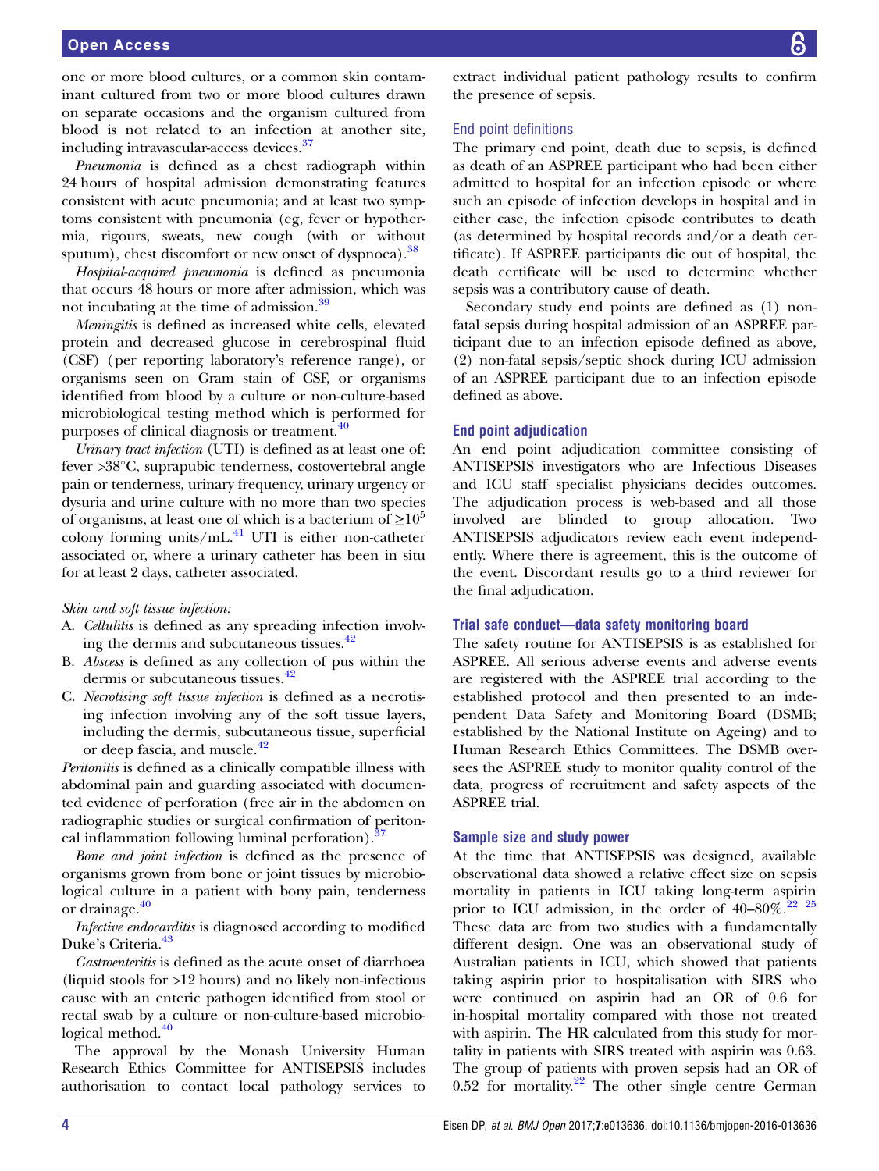#### Open Access

one or more blood cultures, or a common skin contaminant cultured from two or more blood cultures drawn on separate occasions and the organism cultured from blood is not related to an infection at another site, including intravascular-access devices.<sup>[37](#page-6-0)</sup>

Pneumonia is defined as a chest radiograph within 24 hours of hospital admission demonstrating features consistent with acute pneumonia; and at least two symptoms consistent with pneumonia (eg, fever or hypothermia, rigours, sweats, new cough (with or without sputum), chest discomfort or new onset of dyspnoea).<sup>[38](#page-6-0)</sup>

Hospital-acquired pneumonia is defined as pneumonia that occurs 48 hours or more after admission, which was not incubating at the time of admission.<sup>[39](#page-6-0)</sup>

Meningitis is defined as increased white cells, elevated protein and decreased glucose in cerebrospinal fluid (CSF) (per reporting laboratory's reference range), or organisms seen on Gram stain of CSF, or organisms identified from blood by a culture or non-culture-based microbiological testing method which is performed for purposes of clinical diagnosis or treatment.[40](#page-6-0)

Urinary tract infection (UTI) is defined as at least one of: fever >38°C, suprapubic tenderness, costovertebral angle pain or tenderness, urinary frequency, urinary urgency or dysuria and urine culture with no more than two species of organisms, at least one of which is a bacterium of  $\geq 10^5$ colony forming units/mL $^{41}$  $^{41}$  $^{41}$  UTI is either non-catheter associated or, where a urinary catheter has been in situ for at least 2 days, catheter associated.

#### Skin and soft tissue infection:

- A. Cellulitis is defined as any spreading infection involv-ing the dermis and subcutaneous tissues.<sup>[42](#page-6-0)</sup>
- B. Abscess is defined as any collection of pus within the dermis or subcutaneous tissues.<sup>[42](#page-6-0)</sup>
- C. Necrotising soft tissue infection is defined as a necrotising infection involving any of the soft tissue layers, including the dermis, subcutaneous tissue, superficial or deep fascia, and muscle.<sup>[42](#page-6-0)</sup>

Peritonitis is defined as a clinically compatible illness with abdominal pain and guarding associated with documented evidence of perforation (free air in the abdomen on radiographic studies or surgical confirmation of periton-eal inflammation following luminal perforation).<sup>[37](#page-6-0)</sup>

Bone and joint infection is defined as the presence of organisms grown from bone or joint tissues by microbiological culture in a patient with bony pain, tenderness or drainage.<sup>[40](#page-6-0)</sup>

Infective endocarditis is diagnosed according to modified Duke's Criteria.<sup>[43](#page-6-0)</sup>

Gastroenteritis is defined as the acute onset of diarrhoea (liquid stools for >12 hours) and no likely non-infectious cause with an enteric pathogen identified from stool or rectal swab by a culture or non-culture-based microbiological method. $40$ 

The approval by the Monash University Human Research Ethics Committee for ANTISEPSIS includes authorisation to contact local pathology services to

extract individual patient pathology results to confirm the presence of sepsis.

#### End point definitions

The primary end point, death due to sepsis, is defined as death of an ASPREE participant who had been either admitted to hospital for an infection episode or where such an episode of infection develops in hospital and in either case, the infection episode contributes to death (as determined by hospital records and/or a death certificate). If ASPREE participants die out of hospital, the death certificate will be used to determine whether sepsis was a contributory cause of death.

Secondary study end points are defined as (1) nonfatal sepsis during hospital admission of an ASPREE participant due to an infection episode defined as above, (2) non-fatal sepsis/septic shock during ICU admission of an ASPREE participant due to an infection episode defined as above.

#### End point adjudication

An end point adjudication committee consisting of ANTISEPSIS investigators who are Infectious Diseases and ICU staff specialist physicians decides outcomes. The adjudication process is web-based and all those involved are blinded to group allocation. Two ANTISEPSIS adjudicators review each event independently. Where there is agreement, this is the outcome of the event. Discordant results go to a third reviewer for the final adjudication.

#### Trial safe conduct—data safety monitoring board

The safety routine for ANTISEPSIS is as established for ASPREE. All serious adverse events and adverse events are registered with the ASPREE trial according to the established protocol and then presented to an independent Data Safety and Monitoring Board (DSMB; established by the National Institute on Ageing) and to Human Research Ethics Committees. The DSMB oversees the ASPREE study to monitor quality control of the data, progress of recruitment and safety aspects of the ASPREE trial.

#### Sample size and study power

At the time that ANTISEPSIS was designed, available observational data showed a relative effect size on sepsis mortality in patients in ICU taking long-term aspirin prior to ICU admission, in the order of  $40-80\%$ .<sup>22</sup> <sup>25</sup> These data are from two studies with a fundamentally different design. One was an observational study of Australian patients in ICU, which showed that patients taking aspirin prior to hospitalisation with SIRS who were continued on aspirin had an OR of 0.6 for in-hospital mortality compared with those not treated with aspirin. The HR calculated from this study for mortality in patients with SIRS treated with aspirin was 0.63. The group of patients with proven sepsis had an OR of  $0.52$  for mortality.<sup>[22](#page-5-0)</sup> The other single centre German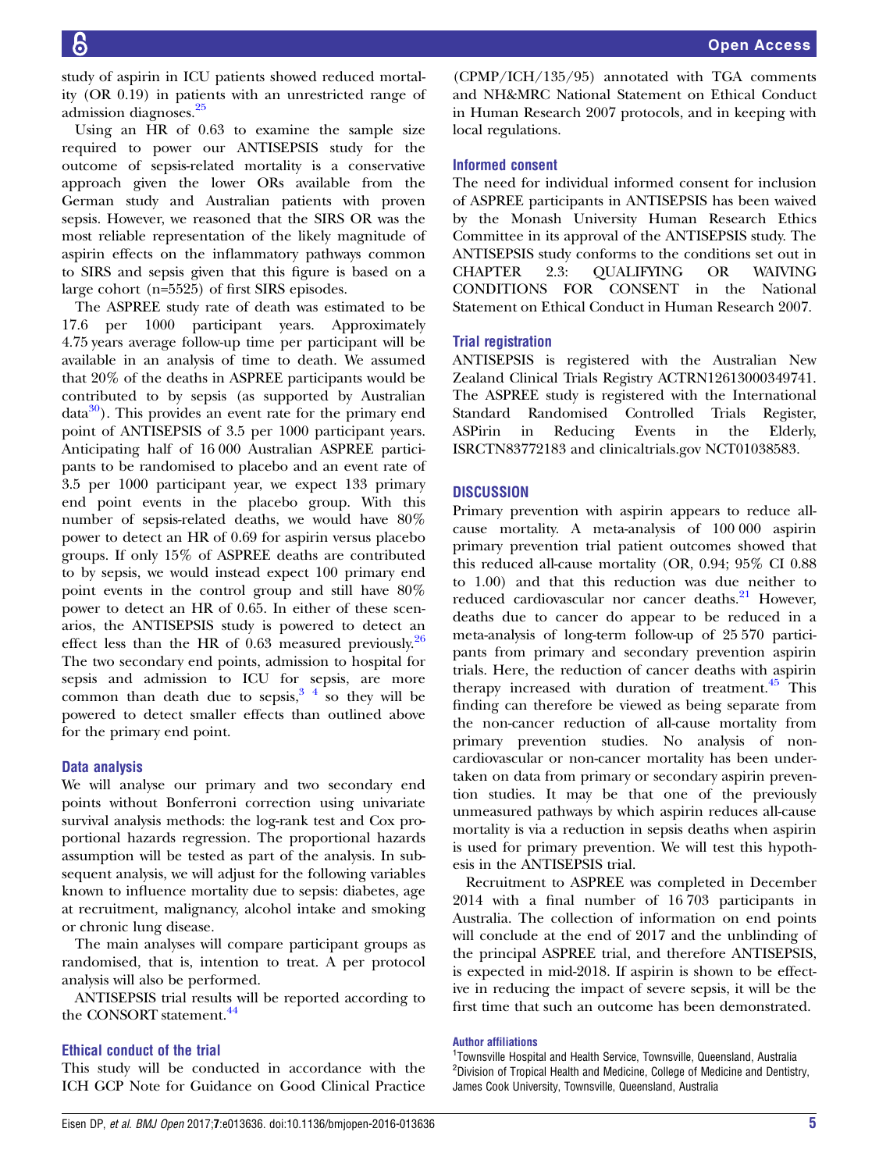study of aspirin in ICU patients showed reduced mortality (OR 0.19) in patients with an unrestricted range of admission diagnoses.<sup>[25](#page-5-0)</sup>

Using an HR of 0.63 to examine the sample size required to power our ANTISEPSIS study for the outcome of sepsis-related mortality is a conservative approach given the lower ORs available from the German study and Australian patients with proven sepsis. However, we reasoned that the SIRS OR was the most reliable representation of the likely magnitude of aspirin effects on the inflammatory pathways common to SIRS and sepsis given that this figure is based on a large cohort (n=5525) of first SIRS episodes.

The ASPREE study rate of death was estimated to be 17.6 per 1000 participant years. Approximately 4.75 years average follow-up time per participant will be available in an analysis of time to death. We assumed that 20% of the deaths in ASPREE participants would be contributed to by sepsis (as supported by Australian  $data^{30}$ ). This provides an event rate for the primary end point of ANTISEPSIS of 3.5 per 1000 participant years. Anticipating half of 16 000 Australian ASPREE participants to be randomised to placebo and an event rate of 3.5 per 1000 participant year, we expect 133 primary end point events in the placebo group. With this number of sepsis-related deaths, we would have 80% power to detect an HR of 0.69 for aspirin versus placebo groups. If only 15% of ASPREE deaths are contributed to by sepsis, we would instead expect 100 primary end point events in the control group and still have 80% power to detect an HR of 0.65. In either of these scenarios, the ANTISEPSIS study is powered to detect an effect less than the HR of 0.63 measured previously.<sup>[26](#page-5-0)</sup> The two secondary end points, admission to hospital for sepsis and admission to ICU for sepsis, are more common than death due to sepsis, $3<sup>3</sup>$  so they will be powered to detect smaller effects than outlined above for the primary end point.

#### Data analysis

We will analyse our primary and two secondary end points without Bonferroni correction using univariate survival analysis methods: the log-rank test and Cox proportional hazards regression. The proportional hazards assumption will be tested as part of the analysis. In subsequent analysis, we will adjust for the following variables known to influence mortality due to sepsis: diabetes, age at recruitment, malignancy, alcohol intake and smoking or chronic lung disease.

The main analyses will compare participant groups as randomised, that is, intention to treat. A per protocol analysis will also be performed.

ANTISEPSIS trial results will be reported according to the CONSORT statement.<sup>[44](#page-6-0)</sup>

#### Ethical conduct of the trial

This study will be conducted in accordance with the ICH GCP Note for Guidance on Good Clinical Practice

(CPMP/ICH/135/95) annotated with TGA comments and NH&MRC National Statement on Ethical Conduct in Human Research 2007 protocols, and in keeping with local regulations.

#### Informed consent

The need for individual informed consent for inclusion of ASPREE participants in ANTISEPSIS has been waived by the Monash University Human Research Ethics Committee in its approval of the ANTISEPSIS study. The ANTISEPSIS study conforms to the conditions set out in CHAPTER 2.3: QUALIFYING OR WAIVING CONDITIONS FOR CONSENT in the National Statement on Ethical Conduct in Human Research 2007.

#### Trial registration

ANTISEPSIS is registered with the Australian New Zealand Clinical Trials Registry ACTRN12613000349741. The ASPREE study is registered with the International Standard Randomised Controlled Trials Register, ASPirin in Reducing Events in the Elderly, ISRCTN83772183 and clinicaltrials.gov NCT01038583.

#### **DISCUSSION**

Primary prevention with aspirin appears to reduce allcause mortality. A meta-analysis of 100 000 aspirin primary prevention trial patient outcomes showed that this reduced all-cause mortality (OR, 0.94; 95% CI 0.88 to 1.00) and that this reduction was due neither to reduced cardiovascular nor cancer deaths.<sup>[21](#page-5-0)</sup> However, deaths due to cancer do appear to be reduced in a meta-analysis of long-term follow-up of 25 570 participants from primary and secondary prevention aspirin trials. Here, the reduction of cancer deaths with aspirin therapy increased with duration of treatment.<sup>[45](#page-6-0)</sup> This finding can therefore be viewed as being separate from the non-cancer reduction of all-cause mortality from primary prevention studies. No analysis of noncardiovascular or non-cancer mortality has been undertaken on data from primary or secondary aspirin prevention studies. It may be that one of the previously unmeasured pathways by which aspirin reduces all-cause mortality is via a reduction in sepsis deaths when aspirin is used for primary prevention. We will test this hypothesis in the ANTISEPSIS trial.

Recruitment to ASPREE was completed in December 2014 with a final number of 16 703 participants in Australia. The collection of information on end points will conclude at the end of 2017 and the unblinding of the principal ASPREE trial, and therefore ANTISEPSIS, is expected in mid-2018. If aspirin is shown to be effective in reducing the impact of severe sepsis, it will be the first time that such an outcome has been demonstrated.

#### Author affiliations

<sup>&</sup>lt;sup>1</sup>Townsville Hospital and Health Service, Townsville, Queensland, Australia <sup>2</sup> Division of Tropical Health and Medicine, College of Medicine and Dentistry, James Cook University, Townsville, Queensland, Australia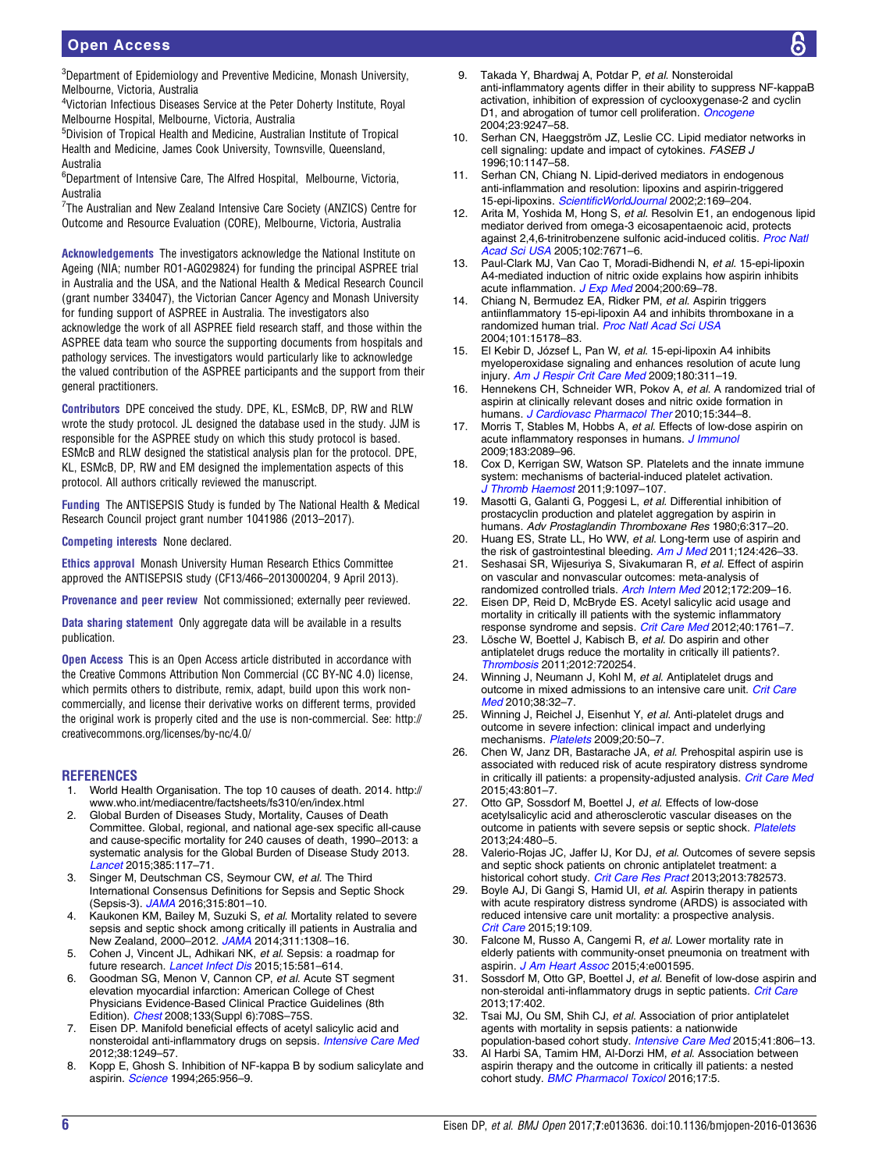### <span id="page-5-0"></span>Open Access

 ${}^{3}$ Department of Epidemiology and Preventive Medicine, Monash University, Melbourne, Victoria, Australia

4 Victorian Infectious Diseases Service at the Peter Doherty Institute, Royal Melbourne Hospital, Melbourne, Victoria, Australia

5 Division of Tropical Health and Medicine, Australian Institute of Tropical Health and Medicine, James Cook University, Townsville, Queensland, Australia

<sup>6</sup>Department of Intensive Care, The Alfred Hospital, Melbourne, Victoria, Australia

<sup>7</sup>The Australian and New Zealand Intensive Care Society (ANZICS) Centre for Outcome and Resource Evaluation (CORE), Melbourne, Victoria, Australia

Acknowledgements The investigators acknowledge the National Institute on Ageing (NIA; number RO1-AG029824) for funding the principal ASPREE trial in Australia and the USA, and the National Health & Medical Research Council (grant number 334047), the Victorian Cancer Agency and Monash University for funding support of ASPREE in Australia. The investigators also acknowledge the work of all ASPREE field research staff, and those within the ASPREE data team who source the supporting documents from hospitals and pathology services. The investigators would particularly like to acknowledge the valued contribution of the ASPREE participants and the support from their general practitioners.

Contributors DPE conceived the study. DPE, KL, ESMcB, DP, RW and RLW wrote the study protocol. JL designed the database used in the study. JJM is responsible for the ASPREE study on which this study protocol is based. ESMcB and RLW designed the statistical analysis plan for the protocol. DPE, KL, ESMcB, DP, RW and EM designed the implementation aspects of this protocol. All authors critically reviewed the manuscript.

Funding The ANTISEPSIS Study is funded by The National Health & Medical Research Council project grant number 1041986 (2013–2017).

Competing interests None declared.

Ethics approval Monash University Human Research Ethics Committee approved the ANTISEPSIS study (CF13/466–2013000204, 9 April 2013).

Provenance and peer review Not commissioned; externally peer reviewed.

Data sharing statement Only aggregate data will be available in a results publication.

**Open Access** This is an Open Access article distributed in accordance with the Creative Commons Attribution Non Commercial (CC BY-NC 4.0) license, which permits others to distribute, remix, adapt, build upon this work noncommercially, and license their derivative works on different terms, provided the original work is properly cited and the use is non-commercial. See: [http://](http://creativecommons.org/licenses/by-nc/4.0/) [creativecommons.org/licenses/by-nc/4.0/](http://creativecommons.org/licenses/by-nc/4.0/)

#### **REFERENCES**

- 1. World Health Organisation. The top 10 causes of death. 2014. [http://](http://www.who.int/mediacentre/factsheets/fs310/en/index.html) [www.who.int/mediacentre/factsheets/fs310/en/index.html](http://www.who.int/mediacentre/factsheets/fs310/en/index.html)
- 2. Global Burden of Diseases Study, Mortality, Causes of Death Committee. Global, regional, and national age-sex specific all-cause and cause-specific mortality for 240 causes of death, 1990–2013: a systematic analysis for the Global Burden of Disease Study 2013. [Lancet](http://dx.doi.org/10.1016/S0140-6736(14)61682-2) 2015;385:117–71.
- 3. Singer M, Deutschman CS, Seymour CW, et al. The Third International Consensus Definitions for Sepsis and Septic Shock (Sepsis-3). [JAMA](http://dx.doi.org/10.1001/jama.2016.0287) 2016;315:801–10.
- 4. Kaukonen KM, Bailey M, Suzuki S, et al. Mortality related to severe sepsis and septic shock among critically ill patients in Australia and New Zealand, 2000–2012. [JAMA](http://dx.doi.org/10.1001/jama.2014.2637) 2014;311:1308–16.
- 5. Cohen J, Vincent JL, Adhikari NK, et al. Sepsis: a roadmap for future research. [Lancet Infect Dis](http://dx.doi.org/10.1016/S1473-3099(15)70112-X) 2015;15:581–614.
- 6. Goodman SG, Menon V, Cannon CP, et al. Acute ST segment elevation myocardial infarction: American College of Chest Physicians Evidence-Based Clinical Practice Guidelines (8th Edition). [Chest](http://dx.doi.org/10.1378/chest.08-0665) 2008;133(Suppl 6):708S-75S.
- 7. Eisen DP. Manifold beneficial effects of acetyl salicylic acid and nonsteroidal anti-inflammatory drugs on sepsis. [Intensive Care Med](http://dx.doi.org/10.1007/s00134-012-2570-8) 2012;38:1249–57.
- 8. Kopp E, Ghosh S. Inhibition of NF-kappa B by sodium salicylate and aspirin. [Science](http://dx.doi.org/10.1126/science.8052854) 1994;265:956-9.
- 9. Takada Y, Bhardwaj A, Potdar P, et al. Nonsteroidal anti-inflammatory agents differ in their ability to suppress NF-kappaB activation, inhibition of expression of cyclooxygenase-2 and cyclin D1, and abrogation of tumor cell proliferation. [Oncogene](http://dx.doi.org/10.1038/sj.onc.1208169) 2004;23:9247–58.
- 10. Serhan CN, Haeggström JZ, Leslie CC. Lipid mediator networks in cell signaling: update and impact of cytokines. FASEB J 1996;10:1147–58.
- 11. Serhan CN, Chiang N. Lipid-derived mediators in endogenous anti-inflammation and resolution: lipoxins and aspirin-triggered 15-epi-lipoxins. [ScientificWorldJournal](http://dx.doi.org/10.1100/tsw.2002.81) 2002;2:169–204.
- 12. Arita M, Yoshida M, Hong S, et al. Resolvin E1, an endogenous lipid mediator derived from omega-3 eicosapentaenoic acid, protects against 2,4,6-trinitrobenzene sulfonic acid-induced colitis. [Proc Natl](http://dx.doi.org/10.1073/pnas.0409271102) cad Sci USA 2005:102:7671–6.
- 13. Paul-Clark MJ, Van Cao T, Moradi-Bidhendi N, et al. 15-epi-lipoxin A4-mediated induction of nitric oxide explains how aspirin inhibits acute inflammation.  $J$  Exp Med 2004;200:69-78.
- 14. Chiang N, Bermudez EA, Ridker PM, et al. Aspirin triggers antiinflammatory 15-epi-lipoxin A4 and inhibits thromboxane in a randomized human trial. [Proc Natl Acad Sci USA](http://dx.doi.org/10.1073/pnas.0405445101) 2004;101:15178–83.
- 15. El Kebir D, József L, Pan W, et al. 15-epi-lipoxin A4 inhibits myeloperoxidase signaling and enhances resolution of acute lung injury. [Am J Respir Crit Care Med](http://dx.doi.org/10.1164/rccm.200810-1601OC) 2009;180:311-19.
- 16. Hennekens CH, Schneider WR, Pokov A, et al. A randomized trial of aspirin at clinically relevant doses and nitric oxide formation in humans. [J Cardiovasc Pharmacol Ther](http://dx.doi.org/10.1177/1074248410375091) 2010;15:344-8.
- 17. Morris T, Stables M, Hobbs A, et al. Effects of low-dose aspirin on acute inflammatory responses in humans. [J Immunol](http://dx.doi.org/10.4049/jimmunol.0900477) 2009;183:2089–96.
- 18. Cox D, Kerrigan SW, Watson SP. Platelets and the innate immune system: mechanisms of bacterial-induced platelet activation. [J Thromb Haemost](http://dx.doi.org/10.1111/j.1538-7836.2011.04264.x) 2011;9:1097–107.
- 19. Masotti G, Galanti G, Poggesi L, et al. Differential inhibition of prostacyclin production and platelet aggregation by aspirin in humans. Adv Prostaglandin Thromboxane Res 1980;6:317–20.
- 20. Huang ES, Strate LL, Ho WW, et al. Long-term use of aspirin and the risk of gastrointestinal bleeding. [Am J Med](http://dx.doi.org/10.1016/j.amjmed.2010.12.022) 2011;124:426-33.
- 21. Seshasai SR, Wijesuriya S, Sivakumaran R, et al. Effect of aspirin on vascular and nonvascular outcomes: meta-analysis of randomized controlled trials. [Arch Intern Med](http://dx.doi.org/10.1001/archinternmed.2011.628) 2012;172:209–16.
- 22. Eisen DP, Reid D, McBryde ES. Acetyl salicylic acid usage and mortality in critically ill patients with the systemic inflammatory response syndrome and sepsis. [Crit Care Med](http://dx.doi.org/10.1097/CCM.0b013e318246b9df) 2012;40:1761-7.
- 23. Lösche W, Boettel J, Kabisch B, et al. Do aspirin and other antiplatelet drugs reduce the mortality in critically ill patients?. [Thrombosis](http://dx.doi.org/10.1155/2012/720254) 2011;2012:720254.
- 24. Winning J, Neumann J, Kohl M, et al. Antiplatelet drugs and outcome in mixed admissions to an intensive care unit. [Crit Care](http://dx.doi.org/10.1097/CCM.0b013e3181b4275c) [Med](http://dx.doi.org/10.1097/CCM.0b013e3181b4275c) 2010;38:32-7.
- 25. Winning J, Reichel J, Eisenhut Y, et al. Anti-platelet drugs and outcome in severe infection: clinical impact and underlying mechanisms. [Platelets](http://dx.doi.org/10.1080/09537100802503368) 2009;20:50-7.
- 26. Chen W, Janz DR, Bastarache JA, et al. Prehospital aspirin use is associated with reduced risk of acute respiratory distress syndrome in critically ill patients: a propensity-adjusted analysis. [Crit Care Med](http://dx.doi.org/10.1097/CCM.0000000000000789) 2015;43:801–7.
- 27. Otto GP, Sossdorf M, Boettel J, et al. Effects of low-dose acetylsalicylic acid and atherosclerotic vascular diseases on the outcome in patients with severe sepsis or septic shock. [Platelets](http://dx.doi.org/10.3109/09537104.2012.724482) 2013;24:480–5.
- 28. Valerio-Rojas JC, Jaffer IJ, Kor DJ, et al. Outcomes of severe sepsis and septic shock patients on chronic antiplatelet treatment: a historical cohort study. [Crit Care Res Pract](http://dx.doi.org/10.1155/2013/782573) 2013;2013:782573.
- 29. Boyle AJ, Di Gangi S, Hamid UI, et al. Aspirin therapy in patients with acute respiratory distress syndrome (ARDS) is associated with reduced intensive care unit mortality: a prospective analysis. [Crit Care](http://dx.doi.org/10.1186/s13054-015-0846-4) 2015;19:109.
- 30. Falcone M, Russo A, Cangemi R, et al. Lower mortality rate in elderly patients with community-onset pneumonia on treatment with aspirin. [J Am Heart Assoc](http://dx.doi.org/10.1161/JAHA.114.001595) 2015;4:e001595.
- 31. Sossdorf M, Otto GP, Boettel J, et al. Benefit of low-dose aspirin and non-steroidal anti-inflammatory drugs in septic patients. [Crit Care](http://dx.doi.org/10.1186/cc11917) 2013;17:402.
- 32. Tsai MJ, Ou SM, Shih CJ, et al. Association of prior antiplatelet agents with mortality in sepsis patients: a nationwide population-based cohort study. [Intensive Care Med](http://dx.doi.org/10.1007/s00134-015-3760-y) 2015;41:806-13.
- 33. Al Harbi SA, Tamim HM, Al-Dorzi HM, et al. Association between aspirin therapy and the outcome in critically ill patients: a nested cohort study. **[BMC Pharmacol Toxicol](http://dx.doi.org/10.1186/s40360-016-0047-z)** 2016;17:5.